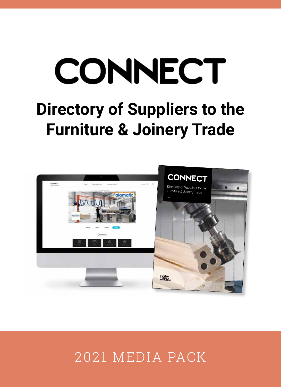# CONNECT **Directory of Suppliers to the Furniture & Joinery Trade**



# 2021 MEDIA PACK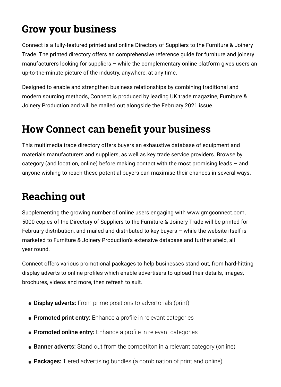# **Grow your business**

Connect is a fully-featured printed and online Directory of Suppliers to the Furniture & Joinery Trade. The printed directory offers an comprehensive reference guide for furniture and joinery manufacturers looking for suppliers – while the complementary online platform gives users an up-to-the-minute picture of the industry, anywhere, at any time.

Designed to enable and strengthen business relationships by combining traditional and modern sourcing methods, Connect is produced by leading UK trade magazine, Furniture & Joinery Production and will be mailed out alongside the February 2021 issue.

# **How Connect can benefit your business**

This multimedia trade directory offers buyers an exhaustive database of equipment and materials manufacturers and suppliers, as well as key trade service providers. Browse by category (and location, online) before making contact with the most promising leads – and anyone wishing to reach these potential buyers can maximise their chances in several ways.

# **Reaching out**

Supplementing the growing number of online users engaging with www.gmgconnect.com, 5000 copies of the Directory of Suppliers to the Furniture & Joinery Trade will be printed for February distribution, and mailed and distributed to key buyers – while the website itself is marketed to Furniture & Joinery Production's extensive database and further afield, all year round.

Connect offers various promotional packages to help businesses stand out, from hard-hitting display adverts to online profiles which enable advertisers to upload their details, images, brochures, videos and more, then refresh to suit.

- **Display adverts:** From prime positions to advertorials (print)
- **Promoted print entry:** Enhance a profile in relevant categories
- **Promoted online entry:** Enhance a profile in relevant categories
- **Banner adverts:** Stand out from the competiton in a relevant category (online)
- Packages: Tiered advertising bundles (a combination of print and online)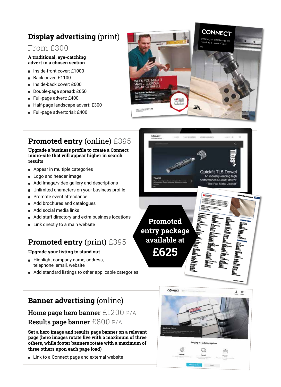## **Display advertising** (print)

#### From £300

#### **A traditional, eye-catching advert in a chosen section**

- Inside-front cover: £1000  $\bullet$
- Back cover: £1100
- Inside-back cover: £600 Ä
- Double-page spread: £650  $\bullet$
- Full-page advert: £400  $\bullet$
- Half-page landscape advert: £300  $\bullet$
- ä Full-page advertorial: £400



## **Promoted entry** (online) £395

#### **Upgrade a business profile to create a Connect micro-site that will appear higher in search results**

- Appear in multiple categories  $\bullet$
- Logo and header image  $\bullet$
- Add image/video gallery and descriptions  $\bullet$
- Unlimited characters on your business profile  $\bullet$
- Promote event attendance  $\bullet$
- **Add brochures and catalogues**
- Add social media links
- Add staff directory and extra business locations  $\bullet$
- **Link directly to a main website**

## **Promoted entry** (print) £395

#### **Upgrade your listing to stand out**

- **Highlight company name, address,** telephone, email, website
- Add standard listings to other applicable categories



## **Banner advertising** (online)

### Home page hero banner £1200 P/A Results page banner £800 P/A

**Set a hero image and results page banner on a relevant page (hero images rotate live with a maximum of three others, while footer banners rotate with a maximum of three others upon each page load)**

**Example 2** Link to a Connect page and external website